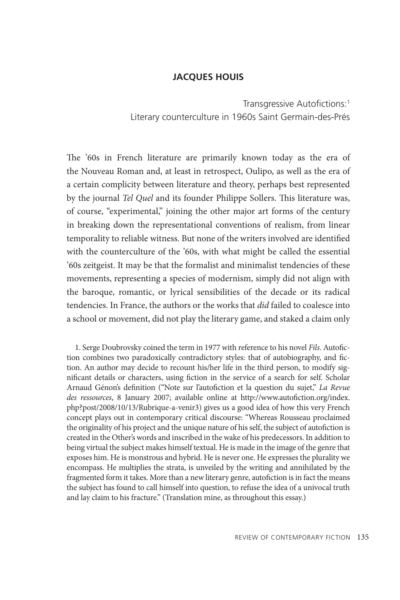### **JACQUES HOUIS**

Transgressive Autofictions:1 Literary counterculture in 1960s Saint Germain-des-Prés

The '60s in French literature are primarily known today as the era of the Nouveau Roman and, at least in retrospect, Oulipo, as well as the era of a certain complicity between literature and theory, perhaps best represented by the journal Tel Quel and its founder Philippe Sollers. This literature was, of course, "experimental," joining the other major art forms of the century in breaking down the representational conventions of realism, from linear temporality to reliable witness. But none of the writers involved are identified with the counterculture of the '60s, with what might be called the essential '60s zeitgeist. It may be that the formalist and minimalist tendencies of these movements, representing a species of modernism, simply did not align with the baroque, romantic, or lyrical sensibilities of the decade or its radical tendencies. In France, the authors or the works that did failed to coalesce into a school or movement, did not play the literary game, and staked a claim only

1. Serge Doubrovsky coined the term in 1977 with reference to his novel Fils. Autofiction combines two paradoxically contradictory styles: that of autobiography, and fiction. An author may decide to recount his/her life in the third person, to modify significant details or characters, using fiction in the service of a search for self. Scholar Arnaud Génon's definition ("Note sur l'autofiction et la question du sujet," La Revue des ressources, 8 January 2007; available online at http://www.autofiction.org/index. php?post/2008/10/13/Rubrique-a-venir3) gives us a good idea of how this very French concept plays out in contemporary critical discourse: "Whereas Rousseau proclaimed the originality of his project and the unique nature of his self, the subject of autofiction is created in the Other's words and inscribed in the wake of his predecessors. In addition to being virtual the subject makes himself textual. He is made in the image of the genre that exposes him. He is monstrous and hybrid. He is never one. He expresses the plurality we encompass. He multiplies the strata, is unveiled by the writing and annihilated by the fragmented form it takes. More than a new literary genre, autofiction is in fact the means the subject has found to call himself into question, to refuse the idea of a univocal truth and lay claim to his fracture." (Translation mine, as throughout this essay.)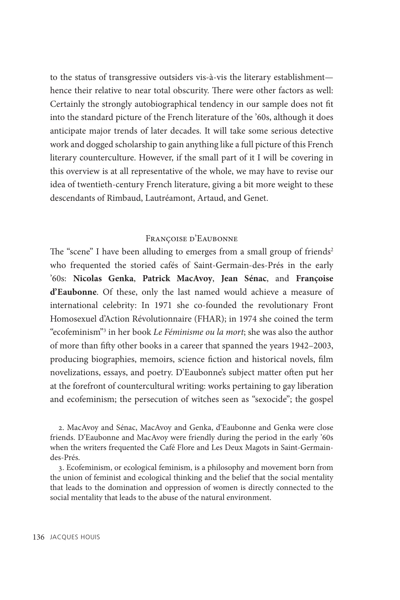to the status of transgressive outsiders vis-à-vis the literary establishment hence their relative to near total obscurity. There were other factors as well: Certainly the strongly autobiographical tendency in our sample does not fit into the standard picture of the French literature of the '60s, although it does anticipate major trends of later decades. It will take some serious detective work and dogged scholarship to gain anything like a full picture of this French literary counterculture. However, if the small part of it I will be covering in this overview is at all representative of the whole, we may have to revise our idea of twentieth-century French literature, giving a bit more weight to these descendants of Rimbaud, Lautréamont, Artaud, and Genet.

## Françoise d'Eaubonne

The "scene" I have been alluding to emerges from a small group of friends<sup>2</sup> who frequented the storied cafés of Saint-Germain-des-Prés in the early '60s: **Nicolas Genka**, **Patrick MacAvoy**, **Jean Sénac**, and **Françoise d'Eaubonne**. Of these, only the last named would achieve a measure of international celebrity: In 1971 she co-founded the revolutionary Front Homosexuel d'Action Révolutionnaire (FHAR); in 1974 she coined the term "ecofeminism"3 in her book Le Féminisme ou la mort; she was also the author of more than fifty other books in a career that spanned the years 1942–2003, producing biographies, memoirs, science fiction and historical novels, film novelizations, essays, and poetry. D'Eaubonne's subject matter often put her at the forefront of countercultural writing: works pertaining to gay liberation and ecofeminism; the persecution of witches seen as "sexocide"; the gospel

2. MacAvoy and Sénac, MacAvoy and Genka, d'Eaubonne and Genka were close friends. D'Eaubonne and MacAvoy were friendly during the period in the early '60s when the writers frequented the Café Flore and Les Deux Magots in Saint-Germaindes-Prés.

3. Ecofeminism, or ecological feminism, is a philosophy and movement born from the union of feminist and ecological thinking and the belief that the social mentality that leads to the domination and oppression of women is directly connected to the social mentality that leads to the abuse of the natural environment.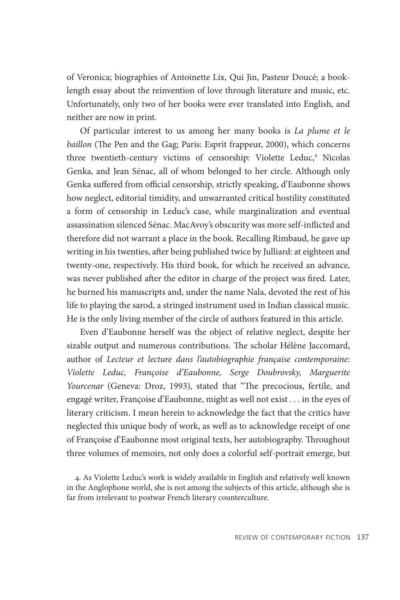of Veronica; biographies of Antoinette Lix, Qui Jin, Pasteur Doucé; a booklength essay about the reinvention of love through literature and music, etc. Unfortunately, only two of her books were ever translated into English, and neither are now in print.

Of particular interest to us among her many books is La plume et le baillon (The Pen and the Gag; Paris: Esprit frappeur, 2000), which concerns three twentieth-century victims of censorship: Violette Leduc,<sup>4</sup> Nicolas Genka, and Jean Sénac, all of whom belonged to her circle. Although only Genka suffered from official censorship, strictly speaking, d'Eaubonne shows how neglect, editorial timidity, and unwarranted critical hostility constituted a form of censorship in Leduc's case, while marginalization and eventual assassination silenced Sénac. MacAvoy's obscurity was more self-in1icted and therefore did not warrant a place in the book. Recalling Rimbaud, he gave up writing in his twenties, after being published twice by Julliard: at eighteen and twenty-one, respectively. His third book, for which he received an advance, was never published after the editor in charge of the project was fired. Later, he burned his manuscripts and, under the name Nala, devoted the rest of his life to playing the sarod, a stringed instrument used in Indian classical music. He is the only living member of the circle of authors featured in this article.

Even d'Eaubonne herself was the object of relative neglect, despite her sizable output and numerous contributions. The scholar Hélène Jaccomard, author of Lecteur et lecture dans l'autobiographie française contemporaine: Violette Leduc, Françoise d'Eaubonne, Serge Doubrovsky, Marguerite Yourcenar (Geneva: Droz, 1993), stated that "The precocious, fertile, and engagé writer, Françoise d'Eaubonne, might as well not exist . . . in the eyes of literary criticism. I mean herein to acknowledge the fact that the critics have neglected this unique body of work, as well as to acknowledge receipt of one of Françoise d'Eaubonne most original texts, her autobiography. Throughout three volumes of memoirs, not only does a colorful self-portrait emerge, but

<sup>4.</sup> As Violette Leduc's work is widely available in English and relatively well known in the Anglophone world, she is not among the subjects of this article, although she is far from irrelevant to postwar French literary counterculture.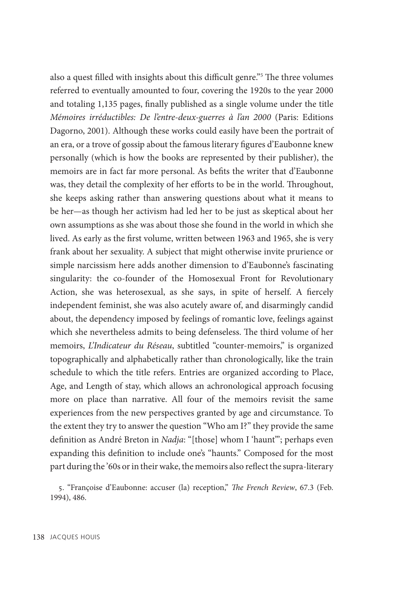also a quest filled with insights about this difficult genre."<sup>5</sup> The three volumes referred to eventually amounted to four, covering the 1920s to the year 2000 and totaling 1,135 pages, finally published as a single volume under the title Mémoires irréductibles: De l'entre-deux-guerres à l'an 2000 (Paris: Editions Dagorno, 2001). Although these works could easily have been the portrait of an era, or a trove of gossip about the famous literary figures d'Eaubonne knew personally (which is how the books are represented by their publisher), the memoirs are in fact far more personal. As befits the writer that d'Eaubonne was, they detail the complexity of her efforts to be in the world. Throughout, she keeps asking rather than answering questions about what it means to be her—as though her activism had led her to be just as skeptical about her own assumptions as she was about those she found in the world in which she lived. As early as the first volume, written between 1963 and 1965, she is very frank about her sexuality. A subject that might otherwise invite prurience or simple narcissism here adds another dimension to d'Eaubonne's fascinating singularity: the co-founder of the Homosexual Front for Revolutionary Action, she was heterosexual, as she says, in spite of herself. A fiercely independent feminist, she was also acutely aware of, and disarmingly candid about, the dependency imposed by feelings of romantic love, feelings against which she nevertheless admits to being defenseless. The third volume of her memoirs, L'Indicateur du Réseau, subtitled "counter-memoirs," is organized topographically and alphabetically rather than chronologically, like the train schedule to which the title refers. Entries are organized according to Place, Age, and Length of stay, which allows an achronological approach focusing more on place than narrative. All four of the memoirs revisit the same experiences from the new perspectives granted by age and circumstance. To the extent they try to answer the question "Who am I?" they provide the same definition as André Breton in Nadja: "[those] whom I 'haunt'"; perhaps even expanding this definition to include one's "haunts." Composed for the most part during the '60s or in their wake, the memoirs also reflect the supra-literary

<sup>5. &</sup>quot;Françoise d'Eaubonne: accuser (la) reception," The French Review, 67.3 (Feb. 1994), 486.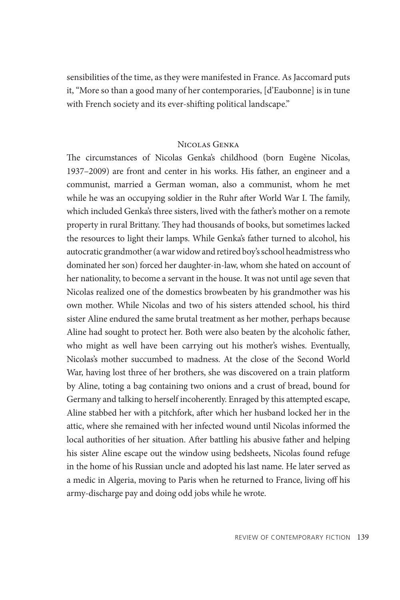sensibilities of the time, as they were manifested in France. As Jaccomard puts it, "More so than a good many of her contemporaries, [d'Eaubonne] is in tune with French society and its ever-shifting political landscape."

#### Nicolas Genka

The circumstances of Nicolas Genka's childhood (born Eugène Nicolas, 1937–2009) are front and center in his works. His father, an engineer and a communist, married a German woman, also a communist, whom he met while he was an occupying soldier in the Ruhr after World War I. The family, which included Genka's three sisters, lived with the father's mother on a remote property in rural Brittany. They had thousands of books, but sometimes lacked the resources to light their lamps. While Genka's father turned to alcohol, his autocratic grandmother (a war widow and retired boy's school headmistress who dominated her son) forced her daughter-in-law, whom she hated on account of her nationality, to become a servant in the house. It was not until age seven that Nicolas realized one of the domestics browbeaten by his grandmother was his own mother. While Nicolas and two of his sisters attended school, his third sister Aline endured the same brutal treatment as her mother, perhaps because Aline had sought to protect her. Both were also beaten by the alcoholic father, who might as well have been carrying out his mother's wishes. Eventually, Nicolas's mother succumbed to madness. At the close of the Second World War, having lost three of her brothers, she was discovered on a train platform by Aline, toting a bag containing two onions and a crust of bread, bound for Germany and talking to herself incoherently. Enraged by this attempted escape, Aline stabbed her with a pitchfork, after which her husband locked her in the attic, where she remained with her infected wound until Nicolas informed the local authorities of her situation. After battling his abusive father and helping his sister Aline escape out the window using bedsheets, Nicolas found refuge in the home of his Russian uncle and adopted his last name. He later served as a medic in Algeria, moving to Paris when he returned to France, living off his army-discharge pay and doing odd jobs while he wrote.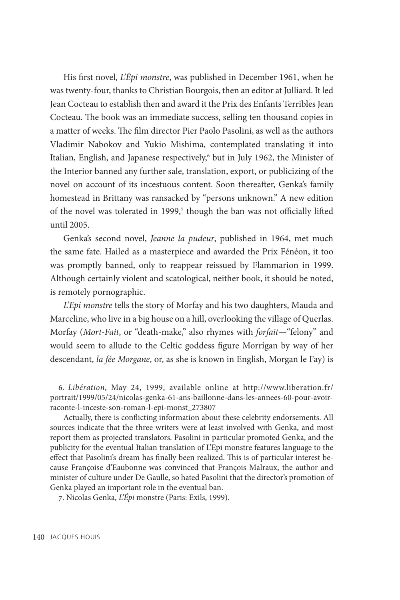His first novel, L'Épi monstre, was published in December 1961, when he was twenty-four, thanks to Christian Bourgois, then an editor at Julliard. It led Jean Cocteau to establish then and award it the Prix des Enfants Terribles Jean Cocteau. The book was an immediate success, selling ten thousand copies in a matter of weeks. The film director Pier Paolo Pasolini, as well as the authors Vladimir Nabokov and Yukio Mishima, contemplated translating it into Italian, English, and Japanese respectively,<sup>6</sup> but in July 1962, the Minister of the Interior banned any further sale, translation, export, or publicizing of the novel on account of its incestuous content. Soon thereafter, Genka's family homestead in Brittany was ransacked by "persons unknown." A new edition of the novel was tolerated in 1999,<sup>7</sup> though the ban was not officially lifted until 2005.

Genka's second novel, Jeanne la pudeur, published in 1964, met much the same fate. Hailed as a masterpiece and awarded the Prix Fénéon, it too was promptly banned, only to reappear reissued by Flammarion in 1999. Although certainly violent and scatological, neither book, it should be noted, is remotely pornographic.

L'Epi monstre tells the story of Morfay and his two daughters, Mauda and Marceline, who live in a big house on a hill, overlooking the village of Querlas. Morfay (Mort-Fait, or "death-make," also rhymes with forfait—"felony" and would seem to allude to the Celtic goddess figure Morrígan by way of her descendant, la fée Morgane, or, as she is known in English, Morgan le Fay) is

6. Libération, May 24, 1999, available online at http://www.liberation.fr/ portrait/1999/05/24/nicolas-genka-61-ans-baillonne-dans-les-annees-60-pour-avoirraconte-l-inceste-son-roman-l-epi-monst\_273807

Actually, there is conflicting information about these celebrity endorsements. All sources indicate that the three writers were at least involved with Genka, and most report them as projected translators. Pasolini in particular promoted Genka, and the publicity for the eventual Italian translation of L'Epi monstre features language to the effect that Pasolini's dream has finally been realized. This is of particular interest because Françoise d'Eaubonne was convinced that François Malraux, the author and minister of culture under De Gaulle, so hated Pasolini that the director's promotion of Genka played an important role in the eventual ban.

7. Nicolas Genka, L'Épi monstre (Paris: Exils, 1999).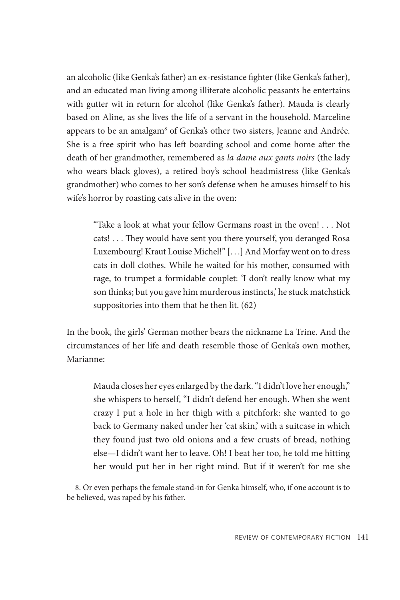an alcoholic (like Genka's father) an ex-resistance fighter (like Genka's father), and an educated man living among illiterate alcoholic peasants he entertains with gutter wit in return for alcohol (like Genka's father). Mauda is clearly based on Aline, as she lives the life of a servant in the household. Marceline appears to be an amalgam $^8$  of Genka's other two sisters, Jeanne and Andrée. She is a free spirit who has left boarding school and come home after the death of her grandmother, remembered as la dame aux gants noirs (the lady who wears black gloves), a retired boy's school headmistress (like Genka's grandmother) who comes to her son's defense when he amuses himself to his wife's horror by roasting cats alive in the oven:

"Take a look at what your fellow Germans roast in the oven! . . . Not cats! . . . They would have sent you there yourself, you deranged Rosa Luxembourg! Kraut Louise Michel!" [. . .] And Morfay went on to dress cats in doll clothes. While he waited for his mother, consumed with rage, to trumpet a formidable couplet: 'I don't really know what my son thinks; but you gave him murderous instincts,' he stuck matchstick suppositories into them that he then lit. (62)

In the book, the girls' German mother bears the nickname La Trine. And the circumstances of her life and death resemble those of Genka's own mother, Marianne:

Mauda closes her eyes enlarged by the dark. "I didn't love her enough," she whispers to herself, "I didn't defend her enough. When she went crazy I put a hole in her thigh with a pitchfork: she wanted to go back to Germany naked under her 'cat skin,' with a suitcase in which they found just two old onions and a few crusts of bread, nothing else—I didn't want her to leave. Oh! I beat her too, he told me hitting her would put her in her right mind. But if it weren't for me she

8. Or even perhaps the female stand-in for Genka himself, who, if one account is to be believed, was raped by his father.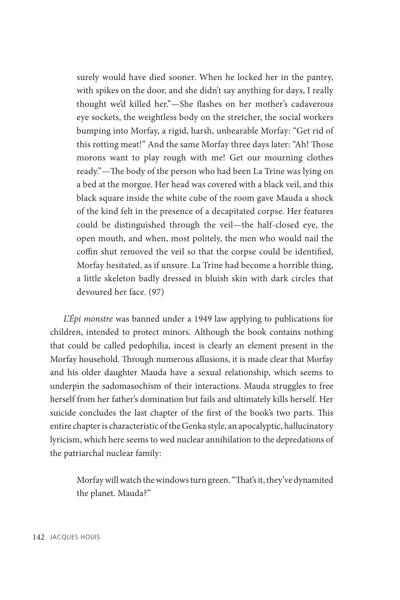surely would have died sooner. When he locked her in the pantry, with spikes on the door, and she didn't say anything for days, I really thought we'd killed her."—She 1ashes on her mother's cadaverous eye sockets, the weightless body on the stretcher, the social workers bumping into Morfay, a rigid, harsh, unbearable Morfay: "Get rid of this rotting meat!" And the same Morfay three days later: "Ah! Those morons want to play rough with me! Get our mourning clothes ready."—The body of the person who had been La Trine was lying on a bed at the morgue. Her head was covered with a black veil, and this black square inside the white cube of the room gave Mauda a shock of the kind felt in the presence of a decapitated corpse. Her features could be distinguished through the veil—the half-closed eye, the open mouth, and when, most politely, the men who would nail the coffin shut removed the veil so that the corpse could be identified, Morfay hesitated, as if unsure. La Trine had become a horrible thing, a little skeleton badly dressed in bluish skin with dark circles that devoured her face. (97)

L'Épi monstre was banned under a 1949 law applying to publications for children, intended to protect minors. Although the book contains nothing that could be called pedophilia, incest is clearly an element present in the Morfay household. Through numerous allusions, it is made clear that Morfay and his older daughter Mauda have a sexual relationship, which seems to underpin the sadomasochism of their interactions. Mauda struggles to free herself from her father's domination but fails and ultimately kills herself. Her suicide concludes the last chapter of the first of the book's two parts. This entire chapter is characteristic of the Genka style, an apocalyptic, hallucinatory lyricism, which here seems to wed nuclear annihilation to the depredations of the patriarchal nuclear family:

Morfay will watch the windows turn green. "That's it, they've dynamited the planet. Mauda?"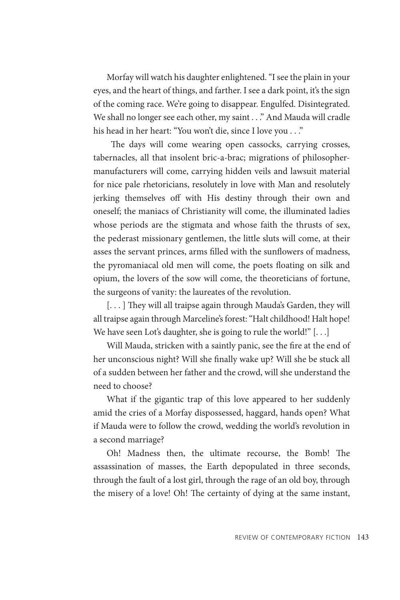Morfay will watch his daughter enlightened. "I see the plain in your eyes, and the heart of things, and farther. I see a dark point, it's the sign of the coming race. We're going to disappear. Engulfed. Disintegrated. We shall no longer see each other, my saint . . ." And Mauda will cradle his head in her heart: "You won't die, since I love you . . ."

The days will come wearing open cassocks, carrying crosses, tabernacles, all that insolent bric-a-brac; migrations of philosophermanufacturers will come, carrying hidden veils and lawsuit material for nice pale rhetoricians, resolutely in love with Man and resolutely jerking themselves off with His destiny through their own and oneself; the maniacs of Christianity will come, the illuminated ladies whose periods are the stigmata and whose faith the thrusts of sex, the pederast missionary gentlemen, the little sluts will come, at their asses the servant princes, arms filled with the sunflowers of madness, the pyromaniacal old men will come, the poets floating on silk and opium, the lovers of the sow will come, the theoreticians of fortune, the surgeons of vanity: the laureates of the revolution.

[...] They will all traipse again through Mauda's Garden, they will all traipse again through Marceline's forest: "Halt childhood! Halt hope! We have seen Lot's daughter, she is going to rule the world!" [...]

Will Mauda, stricken with a saintly panic, see the fire at the end of her unconscious night? Will she finally wake up? Will she be stuck all of a sudden between her father and the crowd, will she understand the need to choose?

What if the gigantic trap of this love appeared to her suddenly amid the cries of a Morfay dispossessed, haggard, hands open? What if Mauda were to follow the crowd, wedding the world's revolution in a second marriage?

Oh! Madness then, the ultimate recourse, the Bomb! The assassination of masses, the Earth depopulated in three seconds, through the fault of a lost girl, through the rage of an old boy, through the misery of a love! Oh! The certainty of dying at the same instant,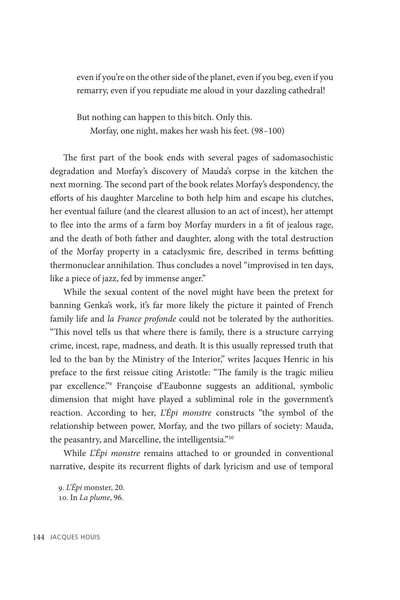even if you're on the other side of the planet, even if you beg, even if you remarry, even if you repudiate me aloud in your dazzling cathedral!

But nothing can happen to this bitch. Only this. Morfay, one night, makes her wash his feet. (98–100)

The first part of the book ends with several pages of sadomasochistic degradation and Morfay's discovery of Mauda's corpse in the kitchen the next morning. The second part of the book relates Morfay's despondency, the efforts of his daughter Marceline to both help him and escape his clutches, her eventual failure (and the clearest allusion to an act of incest), her attempt to flee into the arms of a farm boy Morfay murders in a fit of jealous rage, and the death of both father and daughter, along with the total destruction of the Morfay property in a cataclysmic fire, described in terms befitting thermonuclear annihilation. Thus concludes a novel "improvised in ten days, like a piece of jazz, fed by immense anger."

While the sexual content of the novel might have been the pretext for banning Genka's work, it's far more likely the picture it painted of French family life and la France profonde could not be tolerated by the authorities. "This novel tells us that where there is family, there is a structure carrying crime, incest, rape, madness, and death. It is this usually repressed truth that led to the ban by the Ministry of the Interior," writes Jacques Henric in his preface to the first reissue citing Aristotle: "The family is the tragic milieu par excellence."9 Françoise d'Eaubonne suggests an additional, symbolic dimension that might have played a subliminal role in the government's reaction. According to her, L'Épi monstre constructs "the symbol of the relationship between power, Morfay, and the two pillars of society: Mauda, the peasantry, and Marcelline, the intelligentsia."10

While L'Épi monstre remains attached to or grounded in conventional narrative, despite its recurrent flights of dark lyricism and use of temporal

9. L'Épi monster, 20. 10. In La plume, 96.

144 JACQUES HOUIS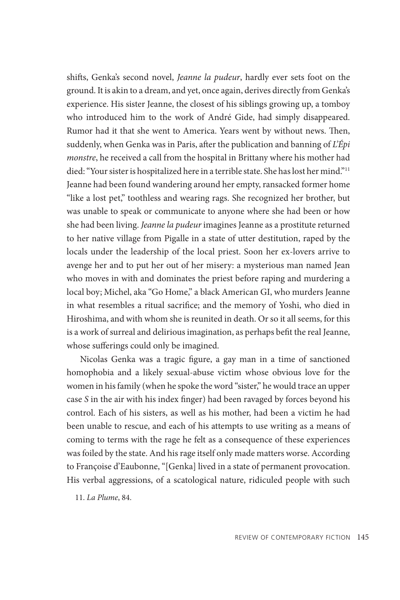shifts, Genka's second novel, Jeanne la pudeur, hardly ever sets foot on the ground. It is akin to a dream, and yet, once again, derives directly from Genka's experience. His sister Jeanne, the closest of his siblings growing up, a tomboy who introduced him to the work of André Gide, had simply disappeared. Rumor had it that she went to America. Years went by without news. Then, suddenly, when Genka was in Paris, after the publication and banning of  $L'$ Épi monstre, he received a call from the hospital in Brittany where his mother had died: "Your sister is hospitalized here in a terrible state. She has lost her mind."11 Jeanne had been found wandering around her empty, ransacked former home "like a lost pet," toothless and wearing rags. She recognized her brother, but was unable to speak or communicate to anyone where she had been or how she had been living. Jeanne la pudeur imagines Jeanne as a prostitute returned to her native village from Pigalle in a state of utter destitution, raped by the locals under the leadership of the local priest. Soon her ex-lovers arrive to avenge her and to put her out of her misery: a mysterious man named Jean who moves in with and dominates the priest before raping and murdering a local boy; Michel, aka "Go Home," a black American GI, who murders Jeanne in what resembles a ritual sacrifice; and the memory of Yoshi, who died in Hiroshima, and with whom she is reunited in death. Or so it all seems, for this is a work of surreal and delirious imagination, as perhaps befit the real Jeanne, whose sufferings could only be imagined.

Nicolas Genka was a tragic figure, a gay man in a time of sanctioned homophobia and a likely sexual-abuse victim whose obvious love for the women in his family (when he spoke the word "sister," he would trace an upper case  $S$  in the air with his index finger) had been ravaged by forces beyond his control. Each of his sisters, as well as his mother, had been a victim he had been unable to rescue, and each of his attempts to use writing as a means of coming to terms with the rage he felt as a consequence of these experiences was foiled by the state. And his rage itself only made matters worse. According to Françoise d'Eaubonne, "[Genka] lived in a state of permanent provocation. His verbal aggressions, of a scatological nature, ridiculed people with such

11. La Plume, 84.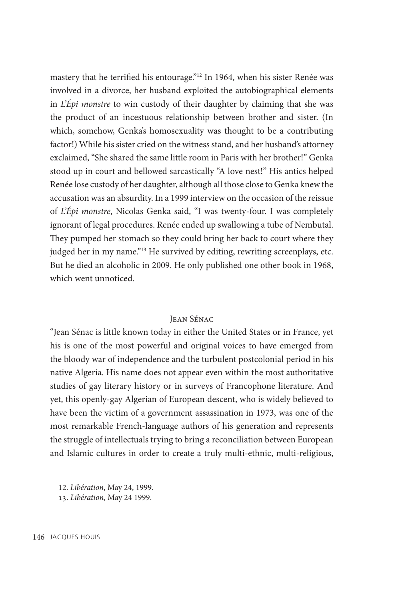mastery that he terrified his entourage."<sup>12</sup> In 1964, when his sister Renée was involved in a divorce, her husband exploited the autobiographical elements in L'Épi monstre to win custody of their daughter by claiming that she was the product of an incestuous relationship between brother and sister. (In which, somehow, Genka's homosexuality was thought to be a contributing factor!) While his sister cried on the witness stand, and her husband's attorney exclaimed, "She shared the same little room in Paris with her brother!" Genka stood up in court and bellowed sarcastically "A love nest!" His antics helped Renée lose custody of her daughter, although all those close to Genka knew the accusation was an absurdity. In a 1999 interview on the occasion of the reissue of L'Épi monstre, Nicolas Genka said, "I was twenty-four. I was completely ignorant of legal procedures. Renée ended up swallowing a tube of Nembutal. They pumped her stomach so they could bring her back to court where they judged her in my name."<sup>13</sup> He survived by editing, rewriting screenplays, etc. But he died an alcoholic in 2009. He only published one other book in 1968, which went unnoticed.

## Jean Sénac

"Jean Sénac is little known today in either the United States or in France, yet his is one of the most powerful and original voices to have emerged from the bloody war of independence and the turbulent postcolonial period in his native Algeria. His name does not appear even within the most authoritative studies of gay literary history or in surveys of Francophone literature. And yet, this openly-gay Algerian of European descent, who is widely believed to have been the victim of a government assassination in 1973, was one of the most remarkable French-language authors of his generation and represents the struggle of intellectuals trying to bring a reconciliation between European and Islamic cultures in order to create a truly multi-ethnic, multi-religious,

12. Libération, May 24, 1999.

13. Libération, May 24 1999.

146 JACQUES HOUIS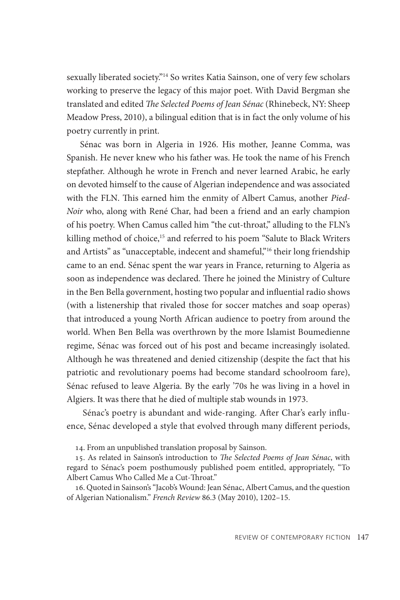sexually liberated society."<sup>14</sup> So writes Katia Sainson, one of very few scholars working to preserve the legacy of this major poet. With David Bergman she translated and edited The Selected Poems of Jean Sénac (Rhinebeck, NY: Sheep Meadow Press, 2010), a bilingual edition that is in fact the only volume of his poetry currently in print.

Sénac was born in Algeria in 1926. His mother, Jeanne Comma, was Spanish. He never knew who his father was. He took the name of his French stepfather. Although he wrote in French and never learned Arabic, he early on devoted himself to the cause of Algerian independence and was associated with the FLN. This earned him the enmity of Albert Camus, another Pied-Noir who, along with René Char, had been a friend and an early champion of his poetry. When Camus called him "the cut-throat," alluding to the FLN's killing method of choice,<sup>15</sup> and referred to his poem "Salute to Black Writers and Artists" as "unacceptable, indecent and shameful,"<sup>16</sup> their long friendship came to an end. Sénac spent the war years in France, returning to Algeria as soon as independence was declared. There he joined the Ministry of Culture in the Ben Bella government, hosting two popular and in1uential radio shows (with a listenership that rivaled those for soccer matches and soap operas) that introduced a young North African audience to poetry from around the world. When Ben Bella was overthrown by the more Islamist Boumedienne regime, Sénac was forced out of his post and became increasingly isolated. Although he was threatened and denied citizenship (despite the fact that his patriotic and revolutionary poems had become standard schoolroom fare), Sénac refused to leave Algeria. By the early '70s he was living in a hovel in Algiers. It was there that he died of multiple stab wounds in 1973.

Sénac's poetry is abundant and wide-ranging. After Char's early influence, Sénac developed a style that evolved through many different periods,

14. From an unpublished translation proposal by Sainson.

15. As related in Sainson's introduction to *The Selected Poems of Jean Sénac*, with regard to Sénac's poem posthumously published poem entitled, appropriately, "To Albert Camus Who Called Me a Cut-Throat."

16. Quoted in Sainson's "Jacob's Wound: Jean Sénac, Albert Camus, and the question of Algerian Nationalism." French Review 86.3 (May 2010), 1202–15.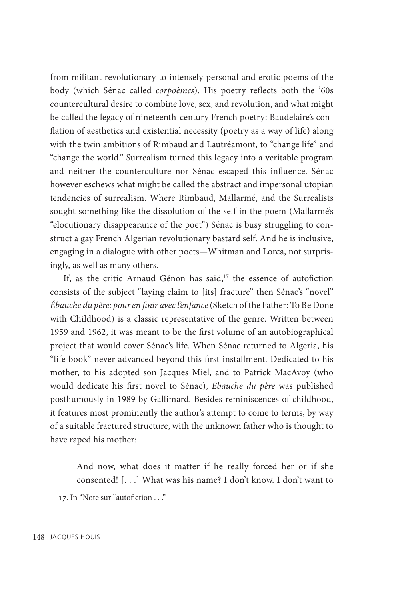from militant revolutionary to intensely personal and erotic poems of the body (which Sénac called *corpoèmes*). His poetry reflects both the '60s countercultural desire to combine love, sex, and revolution, and what might be called the legacy of nineteenth-century French poetry: Baudelaire's conflation of aesthetics and existential necessity (poetry as a way of life) along with the twin ambitions of Rimbaud and Lautréamont, to "change life" and "change the world." Surrealism turned this legacy into a veritable program and neither the counterculture nor Sénac escaped this influence. Sénac however eschews what might be called the abstract and impersonal utopian tendencies of surrealism. Where Rimbaud, Mallarmé, and the Surrealists sought something like the dissolution of the self in the poem (Mallarmé's "elocutionary disappearance of the poet") Sénac is busy struggling to construct a gay French Algerian revolutionary bastard self. And he is inclusive, engaging in a dialogue with other poets—Whitman and Lorca, not surprisingly, as well as many others.

If, as the critic Arnaud Génon has said, $17$  the essence of autofiction consists of the subject "laying claim to [its] fracture" then Sénac's "novel" Ébauche du père: pour en finir avec l'enfance (Sketch of the Father: To Be Done with Childhood) is a classic representative of the genre. Written between 1959 and 1962, it was meant to be the first volume of an autobiographical project that would cover Sénac's life. When Sénac returned to Algeria, his "life book" never advanced beyond this first installment. Dedicated to his mother, to his adopted son Jacques Miel, and to Patrick MacAvoy (who would dedicate his first novel to Sénac), Ébauche du père was published posthumously in 1989 by Gallimard. Besides reminiscences of childhood, it features most prominently the author's attempt to come to terms, by way of a suitable fractured structure, with the unknown father who is thought to have raped his mother:

And now, what does it matter if he really forced her or if she consented! [. . .] What was his name? I don't know. I don't want to

17. In "Note sur l'autofiction . . ."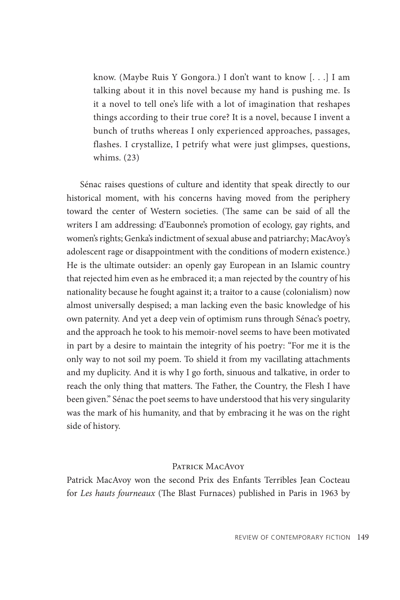know. (Maybe Ruis Y Gongora.) I don't want to know [. . .] I am talking about it in this novel because my hand is pushing me. Is it a novel to tell one's life with a lot of imagination that reshapes things according to their true core? It is a novel, because I invent a bunch of truths whereas I only experienced approaches, passages, flashes. I crystallize, I petrify what were just glimpses, questions, whims. (23)

Sénac raises questions of culture and identity that speak directly to our historical moment, with his concerns having moved from the periphery toward the center of Western societies. (The same can be said of all the writers I am addressing: d'Eaubonne's promotion of ecology, gay rights, and women's rights; Genka's indictment of sexual abuse and patriarchy; MacAvoy's adolescent rage or disappointment with the conditions of modern existence.) He is the ultimate outsider: an openly gay European in an Islamic country that rejected him even as he embraced it; a man rejected by the country of his nationality because he fought against it; a traitor to a cause (colonialism) now almost universally despised; a man lacking even the basic knowledge of his own paternity. And yet a deep vein of optimism runs through Sénac's poetry, and the approach he took to his memoir-novel seems to have been motivated in part by a desire to maintain the integrity of his poetry: "For me it is the only way to not soil my poem. To shield it from my vacillating attachments and my duplicity. And it is why I go forth, sinuous and talkative, in order to reach the only thing that matters. The Father, the Country, the Flesh I have been given." Sénac the poet seems to have understood that his very singularity was the mark of his humanity, and that by embracing it he was on the right side of history.

# Patrick MacAvoy

Patrick MacAvoy won the second Prix des Enfants Terribles Jean Cocteau for Les hauts fourneaux (The Blast Furnaces) published in Paris in 1963 by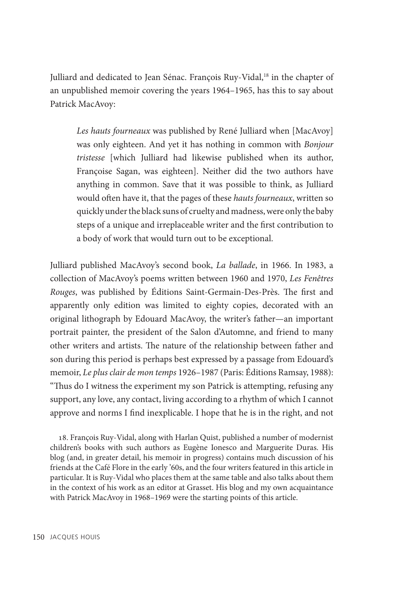Julliard and dedicated to Jean Sénac. François Ruy-Vidal,<sup>18</sup> in the chapter of an unpublished memoir covering the years 1964–1965, has this to say about Patrick MacAvoy:

Les hauts fourneaux was published by René Julliard when [MacAvoy] was only eighteen. And yet it has nothing in common with Bonjour tristesse [which Julliard had likewise published when its author, Françoise Sagan, was eighteen]. Neither did the two authors have anything in common. Save that it was possible to think, as Julliard would often have it, that the pages of these hauts fourneaux, written so quickly under the black suns of cruelty and madness, were only the baby steps of a unique and irreplaceable writer and the first contribution to a body of work that would turn out to be exceptional.

Julliard published MacAvoy's second book, La ballade, in 1966. In 1983, a collection of MacAvoy's poems written between 1960 and 1970, Les Fenêtres Rouges, was published by Éditions Saint-Germain-Des-Près. The first and apparently only edition was limited to eighty copies, decorated with an original lithograph by Edouard MacAvoy, the writer's father—an important portrait painter, the president of the Salon d'Automne, and friend to many other writers and artists. The nature of the relationship between father and son during this period is perhaps best expressed by a passage from Edouard's memoir, Le plus clair de mon temps 1926–1987 (Paris: Éditions Ramsay, 1988): "Thus do I witness the experiment my son Patrick is attempting, refusing any support, any love, any contact, living according to a rhythm of which I cannot approve and norms I find inexplicable. I hope that he is in the right, and not

18. François Ruy-Vidal, along with Harlan Quist, published a number of modernist children's books with such authors as Eugène Ionesco and Marguerite Duras. His blog (and, in greater detail, his memoir in progress) contains much discussion of his friends at the Café Flore in the early '60s, and the four writers featured in this article in particular. It is Ruy-Vidal who places them at the same table and also talks about them in the context of his work as an editor at Grasset. His blog and my own acquaintance with Patrick MacAvoy in 1968–1969 were the starting points of this article.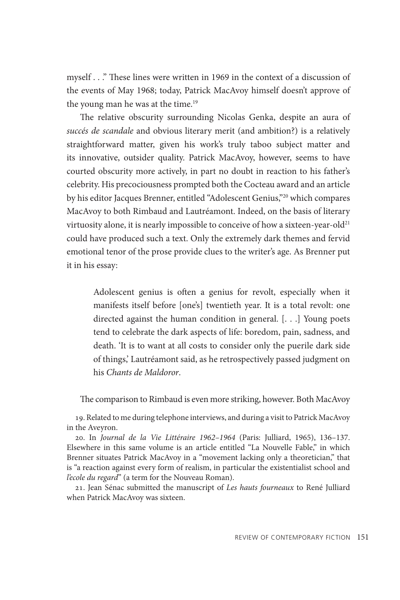myself . . ." These lines were written in 1969 in the context of a discussion of the events of May 1968; today, Patrick MacAvoy himself doesn't approve of the young man he was at the time.<sup>19</sup>

The relative obscurity surrounding Nicolas Genka, despite an aura of succés de scandale and obvious literary merit (and ambition?) is a relatively straightforward matter, given his work's truly taboo subject matter and its innovative, outsider quality. Patrick MacAvoy, however, seems to have courted obscurity more actively, in part no doubt in reaction to his father's celebrity. His precociousness prompted both the Cocteau award and an article by his editor Jacques Brenner, entitled "Adolescent Genius,"20 which compares MacAvoy to both Rimbaud and Lautréamont. Indeed, on the basis of literary virtuosity alone, it is nearly impossible to conceive of how a sixteen-year-old<sup>21</sup> could have produced such a text. Only the extremely dark themes and fervid emotional tenor of the prose provide clues to the writer's age. As Brenner put it in his essay:

Adolescent genius is often a genius for revolt, especially when it manifests itself before [one's] twentieth year. It is a total revolt: one directed against the human condition in general. [. . .] Young poets tend to celebrate the dark aspects of life: boredom, pain, sadness, and death. 'It is to want at all costs to consider only the puerile dark side of things,' Lautréamont said, as he retrospectively passed judgment on his Chants de Maldoror.

The comparison to Rimbaud is even more striking, however. Both MacAvoy

19. Related to me during telephone interviews, and during a visit to Patrick MacAvoy in the Aveyron.

20. In Journal de la Vie Littéraire 1962–1964 (Paris: Julliard, 1965), 136–137. Elsewhere in this same volume is an article entitled "La Nouvelle Fable," in which Brenner situates Patrick MacAvoy in a "movement lacking only a theoretician," that is "a reaction against every form of realism, in particular the existentialist school and l'ecole du regard" (a term for the Nouveau Roman).

21. Jean Sénac submitted the manuscript of Les hauts fourneaux to René Julliard when Patrick MacAvoy was sixteen.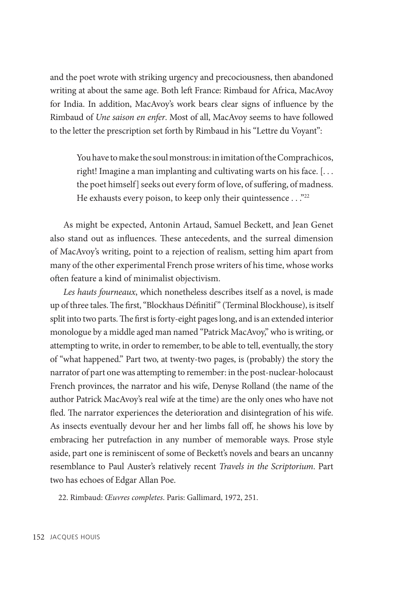and the poet wrote with striking urgency and precociousness, then abandoned writing at about the same age. Both left France: Rimbaud for Africa, MacAvoy for India. In addition, MacAvoy's work bears clear signs of influence by the Rimbaud of Une saison en enfer. Most of all, MacAvoy seems to have followed to the letter the prescription set forth by Rimbaud in his "Lettre du Voyant":

You have to make the soul monstrous: in imitation of the Comprachicos, right! Imagine a man implanting and cultivating warts on his face. [. . . the poet himself] seeks out every form of love, of suffering, of madness. He exhausts every poison, to keep only their quintessence  $\ldots$ <sup>22</sup>

As might be expected, Antonin Artaud, Samuel Beckett, and Jean Genet also stand out as influences. These antecedents, and the surreal dimension of MacAvoy's writing, point to a rejection of realism, setting him apart from many of the other experimental French prose writers of his time, whose works often feature a kind of minimalist objectivism.

Les hauts fourneaux, which nonetheless describes itself as a novel, is made up of three tales. The first, "Blockhaus Définitif" (Terminal Blockhouse), is itself split into two parts. The first is forty-eight pages long, and is an extended interior monologue by a middle aged man named "Patrick MacAvoy," who is writing, or attempting to write, in order to remember, to be able to tell, eventually, the story of "what happened." Part two, at twenty-two pages, is (probably) the story the narrator of part one was attempting to remember: in the post-nuclear-holocaust French provinces, the narrator and his wife, Denyse Rolland (the name of the author Patrick MacAvoy's real wife at the time) are the only ones who have not fled. The narrator experiences the deterioration and disintegration of his wife. As insects eventually devour her and her limbs fall off, he shows his love by embracing her putrefaction in any number of memorable ways. Prose style aside, part one is reminiscent of some of Beckett's novels and bears an uncanny resemblance to Paul Auster's relatively recent Travels in the Scriptorium. Part two has echoes of Edgar Allan Poe.

22. Rimbaud: Œuvres completes. Paris: Gallimard, 1972, 251.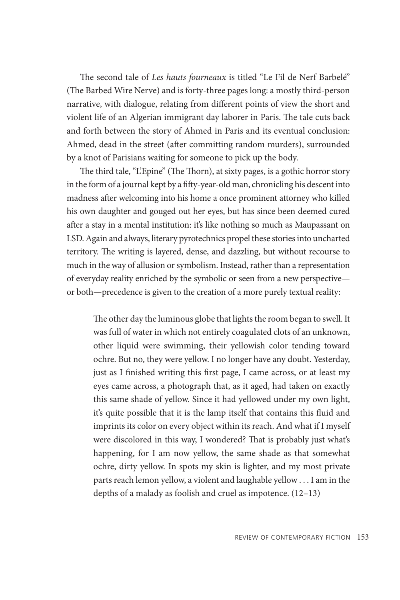The second tale of Les hauts fourneaux is titled "Le Fil de Nerf Barbelé" (The Barbed Wire Nerve) and is forty-three pages long: a mostly third-person narrative, with dialogue, relating from different points of view the short and violent life of an Algerian immigrant day laborer in Paris. The tale cuts back and forth between the story of Ahmed in Paris and its eventual conclusion: Ahmed, dead in the street (after committing random murders), surrounded by a knot of Parisians waiting for someone to pick up the body.

The third tale, "L'Epine" (The Thorn), at sixty pages, is a gothic horror story in the form of a journal kept by a fifty-year-old man, chronicling his descent into madness after welcoming into his home a once prominent attorney who killed his own daughter and gouged out her eyes, but has since been deemed cured after a stay in a mental institution: it's like nothing so much as Maupassant on LSD. Again and always, literary pyrotechnics propel these stories into uncharted territory. The writing is layered, dense, and dazzling, but without recourse to much in the way of allusion or symbolism. Instead, rather than a representation of everyday reality enriched by the symbolic or seen from a new perspective or both—precedence is given to the creation of a more purely textual reality:

The other day the luminous globe that lights the room began to swell. It was full of water in which not entirely coagulated clots of an unknown, other liquid were swimming, their yellowish color tending toward ochre. But no, they were yellow. I no longer have any doubt. Yesterday, just as I finished writing this first page, I came across, or at least my eyes came across, a photograph that, as it aged, had taken on exactly this same shade of yellow. Since it had yellowed under my own light, it's quite possible that it is the lamp itself that contains this 1uid and imprints its color on every object within its reach. And what if I myself were discolored in this way, I wondered? That is probably just what's happening, for I am now yellow, the same shade as that somewhat ochre, dirty yellow. In spots my skin is lighter, and my most private parts reach lemon yellow, a violent and laughable yellow . . . I am in the depths of a malady as foolish and cruel as impotence. (12–13)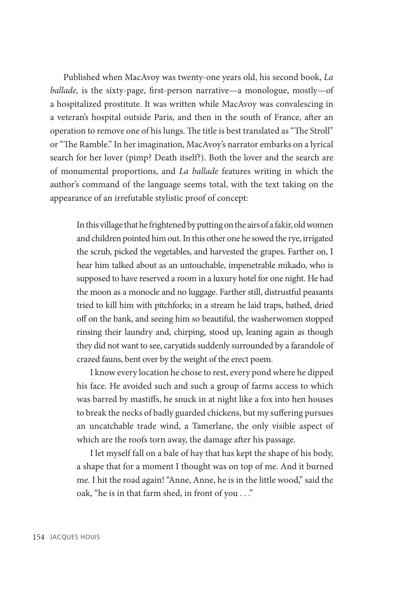Published when MacAvoy was twenty-one years old, his second book, La ballade, is the sixty-page, first-person narrative—a monologue, mostly—of a hospitalized prostitute. It was written while MacAvoy was convalescing in a veteran's hospital outside Paris, and then in the south of France, after an operation to remove one of his lungs. The title is best translated as "The Stroll" or "The Ramble." In her imagination, MacAvoy's narrator embarks on a lyrical search for her lover (pimp? Death itself?). Both the lover and the search are of monumental proportions, and La ballade features writing in which the author's command of the language seems total, with the text taking on the appearance of an irrefutable stylistic proof of concept:

In this village that he frightened by putting on the airs of a fakir, old women and children pointed him out. In this other one he sowed the rye, irrigated the scrub, picked the vegetables, and harvested the grapes. Farther on, I hear him talked about as an untouchable, impenetrable mikado, who is supposed to have reserved a room in a luxury hotel for one night. He had the moon as a monocle and no luggage. Farther still, distrustful peasants tried to kill him with pitchforks; in a stream he laid traps, bathed, dried off on the bank, and seeing him so beautiful, the washerwomen stopped rinsing their laundry and, chirping, stood up, leaning again as though they did not want to see, caryatids suddenly surrounded by a farandole of crazed fauns, bent over by the weight of the erect poem.

I know every location he chose to rest, every pond where he dipped his face. He avoided such and such a group of farms access to which was barred by mastiffs, he snuck in at night like a fox into hen houses to break the necks of badly guarded chickens, but my suffering pursues an uncatchable trade wind, a Tamerlane, the only visible aspect of which are the roofs torn away, the damage after his passage.

I let myself fall on a bale of hay that has kept the shape of his body, a shape that for a moment I thought was on top of me. And it burned me. I hit the road again! "Anne, Anne, he is in the little wood," said the oak, "he is in that farm shed, in front of you . . ."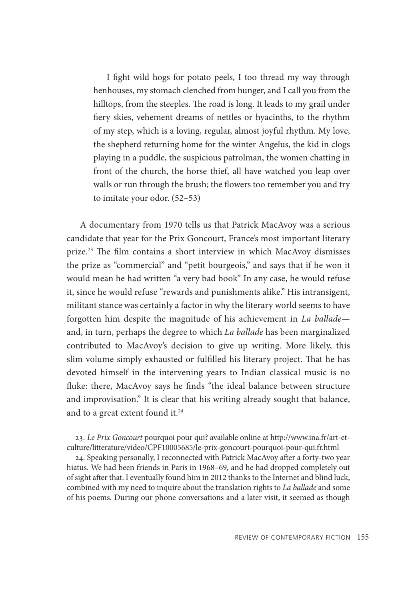I fight wild hogs for potato peels, I too thread my way through henhouses, my stomach clenched from hunger, and I call you from the hilltops, from the steeples. The road is long. It leads to my grail under fiery skies, vehement dreams of nettles or hyacinths, to the rhythm of my step, which is a loving, regular, almost joyful rhythm. My love, the shepherd returning home for the winter Angelus, the kid in clogs playing in a puddle, the suspicious patrolman, the women chatting in front of the church, the horse thief, all have watched you leap over walls or run through the brush; the 1owers too remember you and try to imitate your odor. (52–53)

A documentary from 1970 tells us that Patrick MacAvoy was a serious candidate that year for the Prix Goncourt, France's most important literary prize.<sup>23</sup> The film contains a short interview in which MacAvoy dismisses the prize as "commercial" and "petit bourgeois," and says that if he won it would mean he had written "a very bad book" In any case, he would refuse it, since he would refuse "rewards and punishments alike." His intransigent, militant stance was certainly a factor in why the literary world seems to have forgotten him despite the magnitude of his achievement in La ballade and, in turn, perhaps the degree to which La ballade has been marginalized contributed to MacAvoy's decision to give up writing. More likely, this slim volume simply exhausted or fulfilled his literary project. That he has devoted himself in the intervening years to Indian classical music is no fluke: there, MacAvoy says he finds "the ideal balance between structure and improvisation." It is clear that his writing already sought that balance, and to a great extent found it.<sup>24</sup>

#### 23. Le Prix Goncourt pourquoi pour qui? available online at http://www.ina.fr/art-etculture/litterature/video/CPF10005685/le-prix-goncourt-pourquoi-pour-qui.fr.html

24. Speaking personally, I reconnected with Patrick MacAvoy after a forty-two year hiatus. We had been friends in Paris in 1968–69, and he had dropped completely out of sight after that. I eventually found him in 2012 thanks to the Internet and blind luck, combined with my need to inquire about the translation rights to La ballade and some of his poems. During our phone conversations and a later visit, it seemed as though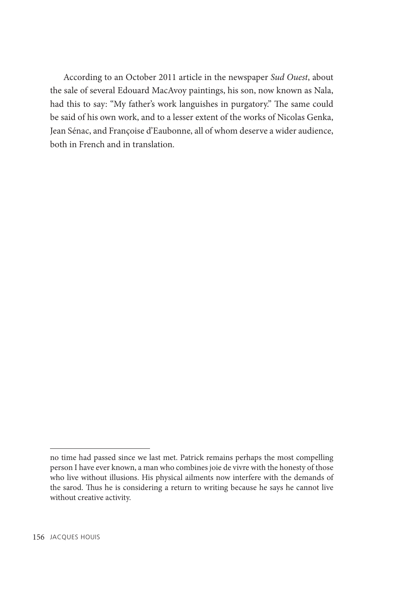According to an October 2011 article in the newspaper Sud Ouest, about the sale of several Edouard MacAvoy paintings, his son, now known as Nala, had this to say: "My father's work languishes in purgatory." The same could be said of his own work, and to a lesser extent of the works of Nicolas Genka, Jean Sénac, and Françoise d'Eaubonne, all of whom deserve a wider audience, both in French and in translation.

no time had passed since we last met. Patrick remains perhaps the most compelling person I have ever known, a man who combines joie de vivre with the honesty of those who live without illusions. His physical ailments now interfere with the demands of the sarod. Thus he is considering a return to writing because he says he cannot live without creative activity.